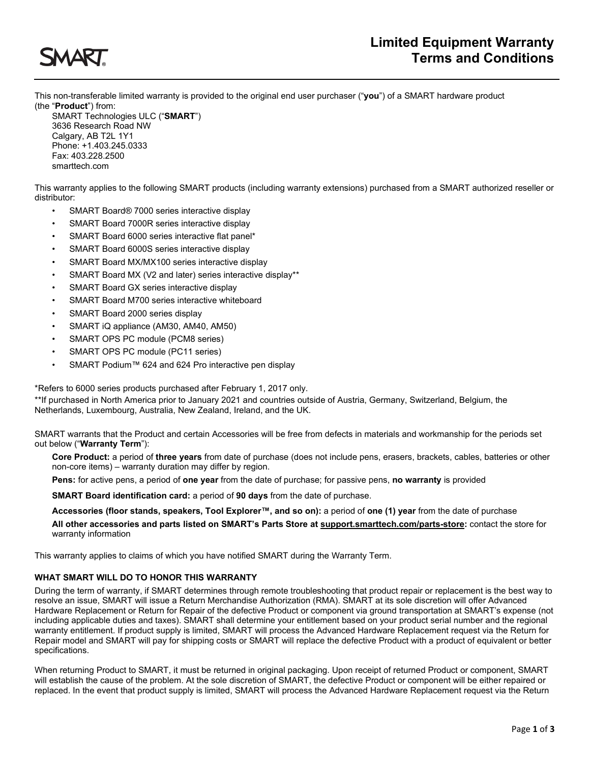

This non-transferable limited warranty is provided to the original end user purchaser ("**you**") of a SMART hardware product (the "**Product**") from:

SMART Technologies ULC ("**SMART**") 3636 Research Road NW Calgary, AB T2L 1Y1 Phone: +1.403.245.0333 Fax: 403.228.2500 smarttech.com

This warranty applies to the following SMART products (including warranty extensions) purchased from a SMART authorized reseller or distributor:

- SMART Board® 7000 series interactive display
- SMART Board 7000R series interactive display
- SMART Board 6000 series interactive flat panel\*
- SMART Board 6000S series interactive display
- SMART Board MX/MX100 series interactive display
- SMART Board MX (V2 and later) series interactive display\*\*
- SMART Board GX series interactive display
- SMART Board M700 series interactive whiteboard
- SMART Board 2000 series display
- SMART iQ appliance (AM30, AM40, AM50)
- SMART OPS PC module (PCM8 series)
- SMART OPS PC module (PC11 series)
- SMART Podium™ 624 and 624 Pro interactive pen display

\*Refers to 6000 series products purchased after February 1, 2017 only.

\*\*If purchased in North America prior to January 2021 and countries outside of Austria, Germany, Switzerland, Belgium, the Netherlands, Luxembourg, Australia, New Zealand, Ireland, and the UK.

SMART warrants that the Product and certain Accessories will be free from defects in materials and workmanship for the periods set out below ("**Warranty Term**"):

**Core Product:** a period of **three years** from date of purchase (does not include pens, erasers, brackets, cables, batteries or other non-core items) – warranty duration may differ by region.

**Pens:** for active pens, a period of **one year** from the date of purchase; for passive pens, **no warranty** is provided

**SMART Board identification card:** a period of **90 days** from the date of purchase.

**Accessories (floor stands, speakers, Tool Explorer™, and so on):** a period of **one (1) year** from the date of purchase **All other accessories and parts listed on SMART's Parts Store a[t support.smarttech.com/parts-store:](https://support.smarttech.com/parts-store)** contact the store for warranty information

This warranty applies to claims of which you have notified SMART during the Warranty Term.

## **WHAT SMART WILL DO TO HONOR THIS WARRANTY**

During the term of warranty, if SMART determines through remote troubleshooting that product repair or replacement is the best way to resolve an issue, SMART will issue a Return Merchandise Authorization (RMA). SMART at its sole discretion will offer Advanced Hardware Replacement or Return for Repair of the defective Product or component via ground transportation at SMART's expense (not including applicable duties and taxes). SMART shall determine your entitlement based on your product serial number and the regional warranty entitlement. If product supply is limited, SMART will process the Advanced Hardware Replacement request via the Return for Repair model and SMART will pay for shipping costs or SMART will replace the defective Product with a product of equivalent or better specifications.

When returning Product to SMART, it must be returned in original packaging. Upon receipt of returned Product or component, SMART will establish the cause of the problem. At the sole discretion of SMART, the defective Product or component will be either repaired or replaced. In the event that product supply is limited, SMART will process the Advanced Hardware Replacement request via the Return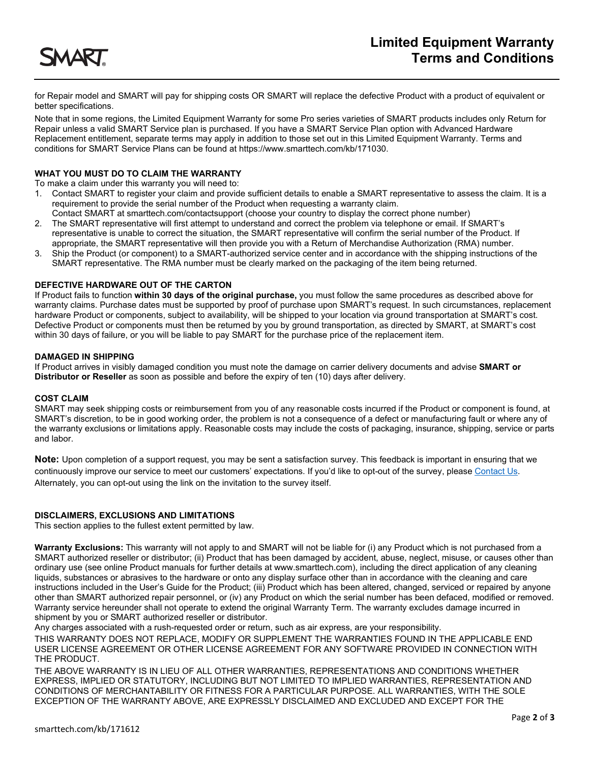

for Repair model and SMART will pay for shipping costs OR SMART will replace the defective Product with a product of equivalent or better specifications.

Note that in some regions, the Limited Equipment Warranty for some Pro series varieties of SMART products includes only Return for Repair unless a valid SMART Service plan is purchased. If you have a SMART Service Plan option with Advanced Hardware Replacement entitlement, separate terms may apply in addition to those set out in this Limited Equipment Warranty. Terms and conditions for SMART Service Plans can be found at https://www.smarttech.com/kb/171030.

## **WHAT YOU MUST DO TO CLAIM THE WARRANTY**

To make a claim under this warranty you will need to:

- 1. Contact SMART to register your claim and provide sufficient details to enable a SMART representative to assess the claim. It is a requirement to provide the serial number of the Product when requesting a warranty claim.
- Contact SMART at smarttech.com/contactsupport (choose your country to display the correct phone number) 2. The SMART representative will first attempt to understand and correct the problem via telephone or email. If SMART's representative is unable to correct the situation, the SMART representative will confirm the serial number of the Product. If appropriate, the SMART representative will then provide you with a Return of Merchandise Authorization (RMA) number.
- 3. Ship the Product (or component) to a SMART-authorized service center and in accordance with the shipping instructions of the SMART representative. The RMA number must be clearly marked on the packaging of the item being returned.

## **DEFECTIVE HARDWARE OUT OF THE CARTON**

If Product fails to function **within 30 days of the original purchase,** you must follow the same procedures as described above for warranty claims. Purchase dates must be supported by proof of purchase upon SMART's request. In such circumstances, replacement hardware Product or components, subject to availability, will be shipped to your location via ground transportation at SMART's cost. Defective Product or components must then be returned by you by ground transportation, as directed by SMART, at SMART's cost within 30 days of failure, or you will be liable to pay SMART for the purchase price of the replacement item.

### **DAMAGED IN SHIPPING**

If Product arrives in visibly damaged condition you must note the damage on carrier delivery documents and advise **SMART or Distributor or Reseller** as soon as possible and before the expiry of ten (10) days after delivery.

#### **COST CLAIM**

SMART may seek shipping costs or reimbursement from you of any reasonable costs incurred if the Product or component is found, at SMART's discretion, to be in good working order, the problem is not a consequence of a defect or manufacturing fault or where any of the warranty exclusions or limitations apply. Reasonable costs may include the costs of packaging, insurance, shipping, service or parts and labor.

**Note:** Upon completion of a support request, you may be sent a satisfaction survey. This feedback is important in ensuring that we continuously improve our service to meet our customers' expectations. If you'd like to opt-out of the survey, pleas[e Contact Us.](https://www.smarttech.com/en/support/contact-us) Alternately, you can opt-out using the link on the invitation to the survey itself.

## **DISCLAIMERS, EXCLUSIONS AND LIMITATIONS**

This section applies to the fullest extent permitted by law.

**Warranty Exclusions:** This warranty will not apply to and SMART will not be liable for (i) any Product which is not purchased from a SMART authorized reseller or distributor; (ii) Product that has been damaged by accident, abuse, neglect, misuse, or causes other than ordinary use (see online Product manuals for further details at www.smarttech.com), including the direct application of any cleaning liquids, substances or abrasives to the hardware or onto any display surface other than in accordance with the cleaning and care instructions included in the User's Guide for the Product; (iii) Product which has been altered, changed, serviced or repaired by anyone other than SMART authorized repair personnel, or (iv) any Product on which the serial number has been defaced, modified or removed. Warranty service hereunder shall not operate to extend the original Warranty Term. The warranty excludes damage incurred in shipment by you or SMART authorized reseller or distributor.

Any charges associated with a rush-requested order or return, such as air express, are your responsibility.

THIS WARRANTY DOES NOT REPLACE, MODIFY OR SUPPLEMENT THE WARRANTIES FOUND IN THE APPLICABLE END USER LICENSE AGREEMENT OR OTHER LICENSE AGREEMENT FOR ANY SOFTWARE PROVIDED IN CONNECTION WITH THE PRODUCT.

THE ABOVE WARRANTY IS IN LIEU OF ALL OTHER WARRANTIES, REPRESENTATIONS AND CONDITIONS WHETHER EXPRESS, IMPLIED OR STATUTORY, INCLUDING BUT NOT LIMITED TO IMPLIED WARRANTIES, REPRESENTATION AND CONDITIONS OF MERCHANTABILITY OR FITNESS FOR A PARTICULAR PURPOSE. ALL WARRANTIES, WITH THE SOLE EXCEPTION OF THE WARRANTY ABOVE, ARE EXPRESSLY DISCLAIMED AND EXCLUDED AND EXCEPT FOR THE